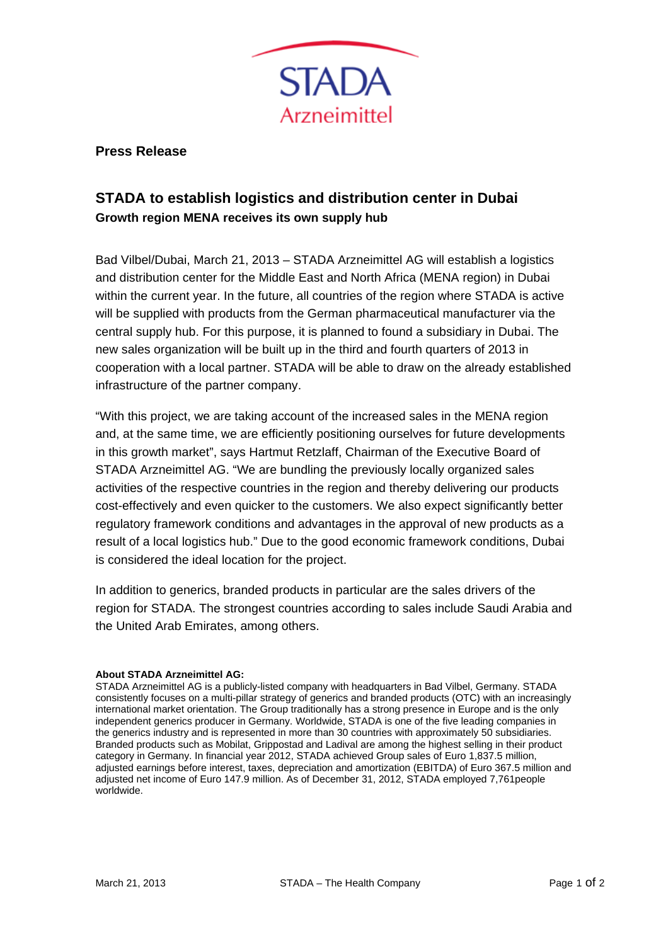

**Press Release** 

## **STADA to establish logistics and distribution center in Dubai Growth region MENA receives its own supply hub**

Bad Vilbel/Dubai, March 21, 2013 – STADA Arzneimittel AG will establish a logistics and distribution center for the Middle East and North Africa (MENA region) in Dubai within the current year. In the future, all countries of the region where STADA is active will be supplied with products from the German pharmaceutical manufacturer via the central supply hub. For this purpose, it is planned to found a subsidiary in Dubai. The new sales organization will be built up in the third and fourth quarters of 2013 in cooperation with a local partner. STADA will be able to draw on the already established infrastructure of the partner company.

"With this project, we are taking account of the increased sales in the MENA region and, at the same time, we are efficiently positioning ourselves for future developments in this growth market", says Hartmut Retzlaff, Chairman of the Executive Board of STADA Arzneimittel AG. "We are bundling the previously locally organized sales activities of the respective countries in the region and thereby delivering our products cost-effectively and even quicker to the customers. We also expect significantly better regulatory framework conditions and advantages in the approval of new products as a result of a local logistics hub." Due to the good economic framework conditions, Dubai is considered the ideal location for the project.

In addition to generics, branded products in particular are the sales drivers of the region for STADA. The strongest countries according to sales include Saudi Arabia and the United Arab Emirates, among others.

## **About STADA Arzneimittel AG:**

STADA Arzneimittel AG is a publicly-listed company with headquarters in Bad Vilbel, Germany. STADA consistently focuses on a multi-pillar strategy of generics and branded products (OTC) with an increasingly international market orientation. The Group traditionally has a strong presence in Europe and is the only independent generics producer in Germany. Worldwide, STADA is one of the five leading companies in the generics industry and is represented in more than 30 countries with approximately 50 subsidiaries. Branded products such as Mobilat, Grippostad and Ladival are among the highest selling in their product category in Germany. In financial year 2012, STADA achieved Group sales of Euro 1,837.5 million, adjusted earnings before interest, taxes, depreciation and amortization (EBITDA) of Euro 367.5 million and adjusted net income of Euro 147.9 million. As of December 31, 2012, STADA employed 7,761people worldwide.